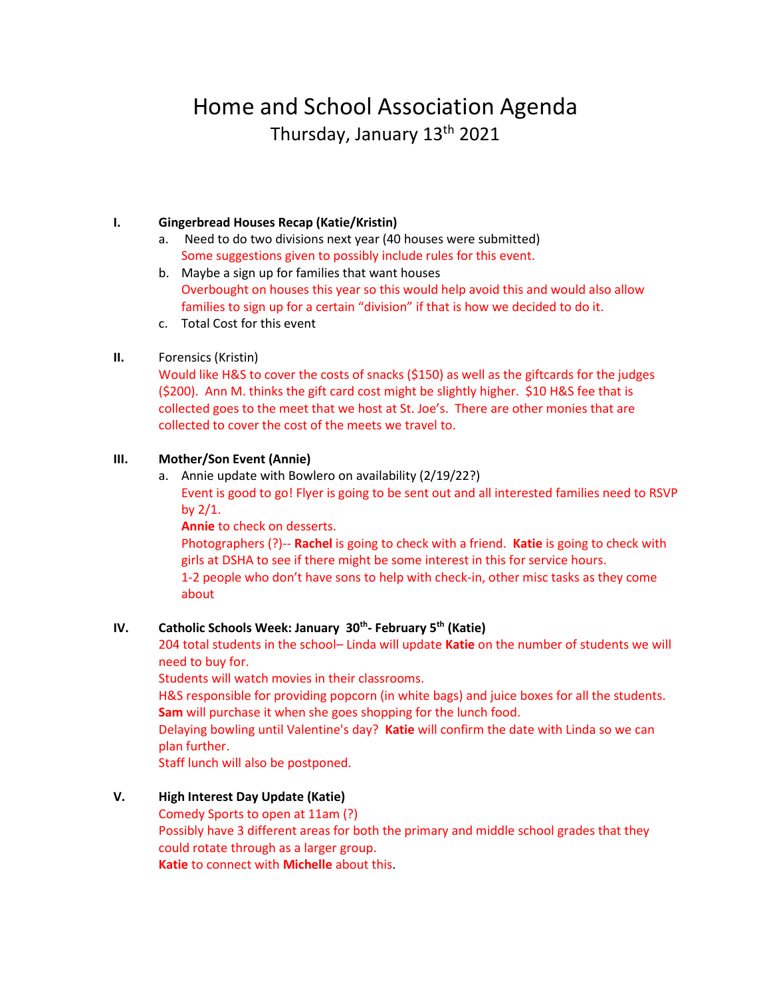# Home and School Association Agenda Thursday, January 13th 2021

# **I. Gingerbread Houses Recap (Katie/Kristin)**

- a. Need to do two divisions next year (40 houses were submitted) Some suggestions given to possibly include rules for this event.
- b. Maybe a sign up for families that want houses Overbought on houses this year so this would help avoid this and would also allow families to sign up for a certain "division" if that is how we decided to do it.
- c. Total Cost for this event

## **II.** Forensics (Kristin)

Would like H&S to cover the costs of snacks (\$150) as well as the giftcards for the judges (\$200). Ann M. thinks the gift card cost might be slightly higher. \$10 H&S fee that is collected goes to the meet that we host at St. Joe's. There are other monies that are collected to cover the cost of the meets we travel to.

## **III. Mother/Son Event (Annie)**

a. Annie update with Bowlero on availability (2/19/22?)

Event is good to go! Flyer is going to be sent out and all interested families need to RSVP by  $2/1$ .

**Annie** to check on desserts.

Photographers (?)-- **Rachel** is going to check with a friend. **Katie** is going to check with girls at DSHA to see if there might be some interest in this for service hours. 1-2 people who don't have sons to help with check-in, other misc tasks as they come about

# **IV. Catholic Schools Week: January 30th - February 5th (Katie)**

204 total students in the school– Linda will update **Katie** on the number of students we will need to buy for.

Students will watch movies in their classrooms.

H&S responsible for providing popcorn (in white bags) and juice boxes for all the students. **Sam** will purchase it when she goes shopping for the lunch food.

Delaying bowling until Valentine's day? **Katie** will confirm the date with Linda so we can plan further.

Staff lunch will also be postponed.

# **V. High Interest Day Update (Katie)**

Comedy Sports to open at 11am (?) Possibly have 3 different areas for both the primary and middle school grades that they could rotate through as a larger group. **Katie** to connect with **Michelle** about this.